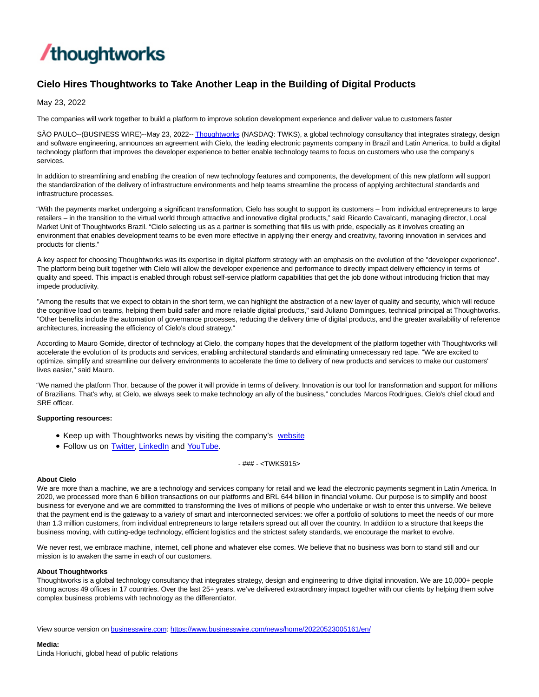

# **Cielo Hires Thoughtworks to Take Another Leap in the Building of Digital Products**

May 23, 2022

The companies will work together to build a platform to improve solution development experience and deliver value to customers faster

SÃO PAULO--(BUSINESS WIRE)--May 23, 2022-[- Thoughtworks \(](https://cts.businesswire.com/ct/CT?id=smartlink&url=https%3A%2F%2Fwww.thoughtworks.com%2Fen-us&esheet=52726179&newsitemid=20220523005161&lan=en-US&anchor=Thoughtworks&index=1&md5=87c43e10680349d15a6401b0236f3c66)NASDAQ: TWKS), a global technology consultancy that integrates strategy, design and software engineering, announces an agreement with Cielo, the leading electronic payments company in Brazil and Latin America, to build a digital technology platform that improves the developer experience to better enable technology teams to focus on customers who use the company's services.

In addition to streamlining and enabling the creation of new technology features and components, the development of this new platform will support the standardization of the delivery of infrastructure environments and help teams streamline the process of applying architectural standards and infrastructure processes.

"With the payments market undergoing a significant transformation, Cielo has sought to support its customers – from individual entrepreneurs to large retailers – in the transition to the virtual world through attractive and innovative digital products," said Ricardo Cavalcanti, managing director, Local Market Unit of Thoughtworks Brazil. "Cielo selecting us as a partner is something that fills us with pride, especially as it involves creating an environment that enables development teams to be even more effective in applying their energy and creativity, favoring innovation in services and products for clients."

A key aspect for choosing Thoughtworks was its expertise in digital platform strategy with an emphasis on the evolution of the "developer experience". The platform being built together with Cielo will allow the developer experience and performance to directly impact delivery efficiency in terms of quality and speed. This impact is enabled through robust self-service platform capabilities that get the job done without introducing friction that may impede productivity.

"Among the results that we expect to obtain in the short term, we can highlight the abstraction of a new layer of quality and security, which will reduce the cognitive load on teams, helping them build safer and more reliable digital products," said Juliano Domingues, technical principal at Thoughtworks. "Other benefits include the automation of governance processes, reducing the delivery time of digital products, and the greater availability of reference architectures, increasing the efficiency of Cielo's cloud strategy."

According to Mauro Gomide, director of technology at Cielo, the company hopes that the development of the platform together with Thoughtworks will accelerate the evolution of its products and services, enabling architectural standards and eliminating unnecessary red tape. "We are excited to optimize, simplify and streamline our delivery environments to accelerate the time to delivery of new products and services to make our customers' lives easier," said Mauro.

"We named the platform Thor, because of the power it will provide in terms of delivery. Innovation is our tool for transformation and support for millions of Brazilians. That's why, at Cielo, we always seek to make technology an ally of the business," concludes Marcos Rodrigues, Cielo's chief cloud and SRE officer.

## **Supporting resources:**

- Keep up with Thoughtworks news by visiting the company's [website](https://cts.businesswire.com/ct/CT?id=smartlink&url=http%3A%2F%2Fwww.thoughtworks.com%2F&esheet=52726179&newsitemid=20220523005161&lan=en-US&anchor=website&index=2&md5=c422055ac2be1b59264f8d482bb80da2)
- Follow us on [Twitter,](https://cts.businesswire.com/ct/CT?id=smartlink&url=https%3A%2F%2Ftwitter.com%2Fthoughtworks&esheet=52726179&newsitemid=20220523005161&lan=en-US&anchor=Twitter&index=3&md5=d6f3d061c1a59ab1ee2116eed16e4f70) [LinkedIn a](https://cts.businesswire.com/ct/CT?id=smartlink&url=https%3A%2F%2Fwww.linkedin.com%2Fcompany%2Fthoughtworks&esheet=52726179&newsitemid=20220523005161&lan=en-US&anchor=LinkedIn&index=4&md5=9f73fbe9aea6706200ccee534b7a9321)nd [YouTube.](https://cts.businesswire.com/ct/CT?id=smartlink&url=https%3A%2F%2Fwww.youtube.com%2Fuser%2FThoughtWorks&esheet=52726179&newsitemid=20220523005161&lan=en-US&anchor=YouTube&index=5&md5=22f8c2d334570b373dad172dbccf2504)

- ### - <TWKS915>

## **About Cielo**

We are more than a machine, we are a technology and services company for retail and we lead the electronic payments segment in Latin America. In 2020, we processed more than 6 billion transactions on our platforms and BRL 644 billion in financial volume. Our purpose is to simplify and boost business for everyone and we are committed to transforming the lives of millions of people who undertake or wish to enter this universe. We believe that the payment end is the gateway to a variety of smart and interconnected services: we offer a portfolio of solutions to meet the needs of our more than 1.3 million customers, from individual entrepreneurs to large retailers spread out all over the country. In addition to a structure that keeps the business moving, with cutting-edge technology, efficient logistics and the strictest safety standards, we encourage the market to evolve.

We never rest, we embrace machine, internet, cell phone and whatever else comes. We believe that no business was born to stand still and our mission is to awaken the same in each of our customers.

### **About Thoughtworks**

Thoughtworks is a global technology consultancy that integrates strategy, design and engineering to drive digital innovation. We are 10,000+ people strong across 49 offices in 17 countries. Over the last 25+ years, we've delivered extraordinary impact together with our clients by helping them solve complex business problems with technology as the differentiator.

View source version on [businesswire.com:](http://businesswire.com/)<https://www.businesswire.com/news/home/20220523005161/en/>

## **Media:**

Linda Horiuchi, global head of public relations